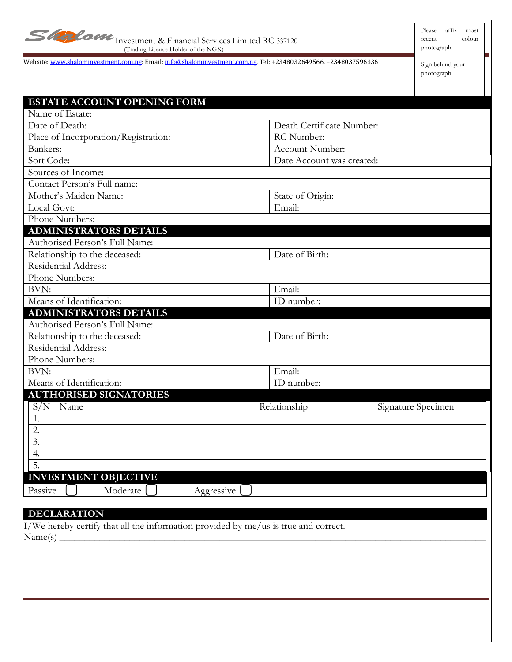| REPA |
|------|
|------|

Investment & Financial Services Limited RC 337120 (Trading Licence Holder of the NGX)

Please affix most recent colour photograph

Website[: www.shalominvestment.com.ng:](http://www.shalominvestment.com.ng/) Email[: info@shalominvestment.com.ng,](mailto:info@shalominvestment.com.ng) Tel: +2348032649566, +2348037596336

Sign behind your photograph

| Name of Estate:<br>Death Certificate Number:<br>Date of Death:<br>Place of Incorporation/Registration:<br>RC Number:<br>Bankers:<br>Account Number:<br>Sort Code:<br>Date Account was created:<br>Sources of Income:<br>Contact Person's Full name:<br>Mother's Maiden Name:<br>State of Origin:<br>Email:<br>Local Govt:<br>Phone Numbers:<br><b>ADMINISTRATORS DETAILS</b><br>Authorised Person's Full Name:<br>Relationship to the deceased:<br>Date of Birth:<br>Residential Address:<br>Phone Numbers:<br>BVN:<br>Email:<br>Means of Identification:<br>ID number:<br><b>ADMINISTRATORS DETAILS</b><br>Authorised Person's Full Name:<br>Relationship to the deceased:<br>Date of Birth: |
|-----------------------------------------------------------------------------------------------------------------------------------------------------------------------------------------------------------------------------------------------------------------------------------------------------------------------------------------------------------------------------------------------------------------------------------------------------------------------------------------------------------------------------------------------------------------------------------------------------------------------------------------------------------------------------------------------|
|                                                                                                                                                                                                                                                                                                                                                                                                                                                                                                                                                                                                                                                                                               |
|                                                                                                                                                                                                                                                                                                                                                                                                                                                                                                                                                                                                                                                                                               |
|                                                                                                                                                                                                                                                                                                                                                                                                                                                                                                                                                                                                                                                                                               |
|                                                                                                                                                                                                                                                                                                                                                                                                                                                                                                                                                                                                                                                                                               |
|                                                                                                                                                                                                                                                                                                                                                                                                                                                                                                                                                                                                                                                                                               |
|                                                                                                                                                                                                                                                                                                                                                                                                                                                                                                                                                                                                                                                                                               |
|                                                                                                                                                                                                                                                                                                                                                                                                                                                                                                                                                                                                                                                                                               |
|                                                                                                                                                                                                                                                                                                                                                                                                                                                                                                                                                                                                                                                                                               |
|                                                                                                                                                                                                                                                                                                                                                                                                                                                                                                                                                                                                                                                                                               |
|                                                                                                                                                                                                                                                                                                                                                                                                                                                                                                                                                                                                                                                                                               |
|                                                                                                                                                                                                                                                                                                                                                                                                                                                                                                                                                                                                                                                                                               |
|                                                                                                                                                                                                                                                                                                                                                                                                                                                                                                                                                                                                                                                                                               |
|                                                                                                                                                                                                                                                                                                                                                                                                                                                                                                                                                                                                                                                                                               |
|                                                                                                                                                                                                                                                                                                                                                                                                                                                                                                                                                                                                                                                                                               |
|                                                                                                                                                                                                                                                                                                                                                                                                                                                                                                                                                                                                                                                                                               |
|                                                                                                                                                                                                                                                                                                                                                                                                                                                                                                                                                                                                                                                                                               |
|                                                                                                                                                                                                                                                                                                                                                                                                                                                                                                                                                                                                                                                                                               |
|                                                                                                                                                                                                                                                                                                                                                                                                                                                                                                                                                                                                                                                                                               |
|                                                                                                                                                                                                                                                                                                                                                                                                                                                                                                                                                                                                                                                                                               |
|                                                                                                                                                                                                                                                                                                                                                                                                                                                                                                                                                                                                                                                                                               |
| Residential Address:                                                                                                                                                                                                                                                                                                                                                                                                                                                                                                                                                                                                                                                                          |
| Phone Numbers:                                                                                                                                                                                                                                                                                                                                                                                                                                                                                                                                                                                                                                                                                |
| BVN:<br>Email:                                                                                                                                                                                                                                                                                                                                                                                                                                                                                                                                                                                                                                                                                |
| Means of Identification:<br>ID number:                                                                                                                                                                                                                                                                                                                                                                                                                                                                                                                                                                                                                                                        |
| <b>AUTHORISED SIGNATORIES</b>                                                                                                                                                                                                                                                                                                                                                                                                                                                                                                                                                                                                                                                                 |
| S/N<br>Relationship<br>Name<br>Signature Specimen                                                                                                                                                                                                                                                                                                                                                                                                                                                                                                                                                                                                                                             |
| 1.                                                                                                                                                                                                                                                                                                                                                                                                                                                                                                                                                                                                                                                                                            |
| 2.                                                                                                                                                                                                                                                                                                                                                                                                                                                                                                                                                                                                                                                                                            |
| 3.                                                                                                                                                                                                                                                                                                                                                                                                                                                                                                                                                                                                                                                                                            |
| 4.                                                                                                                                                                                                                                                                                                                                                                                                                                                                                                                                                                                                                                                                                            |
| $\overline{5}$ .                                                                                                                                                                                                                                                                                                                                                                                                                                                                                                                                                                                                                                                                              |
| <b>INVESTMENT OBJECTIVE</b>                                                                                                                                                                                                                                                                                                                                                                                                                                                                                                                                                                                                                                                                   |
| Moderate<br>Passive<br>Aggressive                                                                                                                                                                                                                                                                                                                                                                                                                                                                                                                                                                                                                                                             |
|                                                                                                                                                                                                                                                                                                                                                                                                                                                                                                                                                                                                                                                                                               |
|                                                                                                                                                                                                                                                                                                                                                                                                                                                                                                                                                                                                                                                                                               |
|                                                                                                                                                                                                                                                                                                                                                                                                                                                                                                                                                                                                                                                                                               |
| <b>DECLARATION</b>                                                                                                                                                                                                                                                                                                                                                                                                                                                                                                                                                                                                                                                                            |
| I/We hereby certify that all the information provided by me/us is true and correct.                                                                                                                                                                                                                                                                                                                                                                                                                                                                                                                                                                                                           |
|                                                                                                                                                                                                                                                                                                                                                                                                                                                                                                                                                                                                                                                                                               |
|                                                                                                                                                                                                                                                                                                                                                                                                                                                                                                                                                                                                                                                                                               |
|                                                                                                                                                                                                                                                                                                                                                                                                                                                                                                                                                                                                                                                                                               |
|                                                                                                                                                                                                                                                                                                                                                                                                                                                                                                                                                                                                                                                                                               |
|                                                                                                                                                                                                                                                                                                                                                                                                                                                                                                                                                                                                                                                                                               |
|                                                                                                                                                                                                                                                                                                                                                                                                                                                                                                                                                                                                                                                                                               |
|                                                                                                                                                                                                                                                                                                                                                                                                                                                                                                                                                                                                                                                                                               |